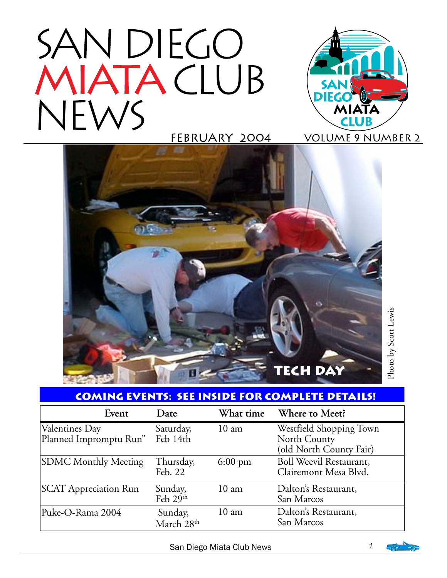# SAN DIEGO MIATACLUB NEWS





## **coming Events: See inside for complete details!**

| Event                                    | Date                              | What time         | Where to Meet?                                                     |
|------------------------------------------|-----------------------------------|-------------------|--------------------------------------------------------------------|
| Valentines Day<br>Planned Impromptu Run" | Saturday,<br>Feb 14th             | $10 \text{ am}$   | Westfield Shopping Town<br>North County<br>(old North County Fair) |
| <b>SDMC Monthly Meeting</b>              | Thursday,<br>Feb. 22              | $6:00 \text{ pm}$ | <b>Boll Weevil Restaurant,</b><br>Clairemont Mesa Blvd.            |
| <b>SCAT Appreciation Run</b>             | Sunday,<br>Feb $29th$             | 10 <sub>am</sub>  | Dalton's Restaurant,<br>San Marcos                                 |
| Puke-O-Rama 2004                         | Sunday,<br>March 28 <sup>th</sup> | $10 \text{ am}$   | Dalton's Restaurant,<br>San Marcos                                 |

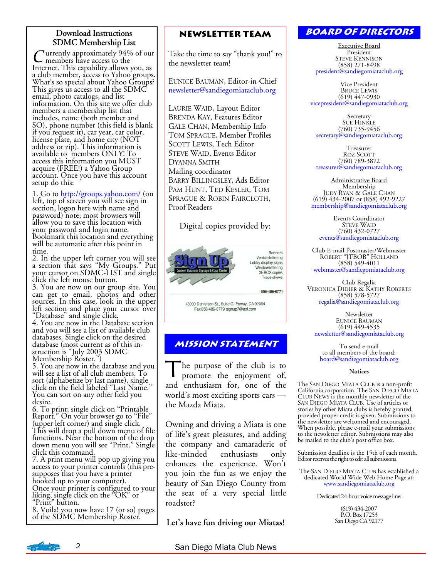#### **Download Instructions SDMC Membership List**

C urrently approximately 94% of our<br>Internet. This capability allows you, as Internet. This capability allows you, as<br>a club member, access to Yahoo groups. What's so special about Yahoo Groups? This gives us access to all the SDMC email, photo catalogs, and list information. On this site we offer club members a membership list that includes, name (both member and SO), phone number (this field is blank if you request it), car year, car color, license plate, and home city (NOT address or zip). This information is available to members ONLY! To access this information you MUST acquire (FREE!) a Yahoo Group account. Once you have this account setup do this:

1. Go to http://groups.yahoo.com/ (on left, top of screen you will see sign in section, logon here with name and password) note; most browsers will allow you to save this location with your password and login name. Bookmark this location and everything will be automatic after this point in time.

2. In the upper left corner you will see a section that says "My Groups." Put your cursor on SDMC-LIST and single click the left mouse button.

3. You are now on our group site. You can get to email, photos and other sources. In this case, look in the upper left section and place your cursor over "Database" and single click.

4. You are now in the Database section and you will see a list of available club databases. Single click on the desired database (most current as of this instruction is "July 2003 SDMC Membership Roster.")

5. You are now in the database and you will see a list of all club members. To sort (alphabetize by last name), single<br>click on the field labeled "Last Name." You can sort on any other field you desire.

6. To print; single click on "Printable Report." On your browser go to "File" (upper left corner) and single click. This will drop a pull down menu of file functions. Near the bottom of the drop down menu you will see "Print." Single click this command.

7. A print menu will pop up giving you access to your printer controls (this presupposes that you have a printer hooked up to your computer). Once your printer is configured to your liking, single click on the "OK" or "Print" button.

8. Voila! you now have 17 (or so) pages of the SDMC Membership Roster.

#### **Newsletter Team**

Take the time to say "thank you!" to the newsletter team!

EUNICE BAUMAN, Editor-in-Chief newsletter@sandiegomiataclub.org

LAURIE WAID, Layout Editor BRENDA KAY, Features Editor GALE CHAN, Membership Info TOM SPRAGUE, Member Profiles SCOTT LEWIS, Tech Editor STEVE WAID, Events Editor DYANNA SMITH Mailing coordinator BARRY BILLINGSLEY, Ads Editor PAM HUNT, TED KESLER, TOM SPRAGUE & ROBIN FAIRCLOTH, Proof Readers

Digital copies provided by:



13000 Danielson St., Suite G Poway, CA 92064 Fax 858-486-6779 signup7@aol.com

#### **Mission statement**

The purpose of the club is to promote the enjoyment of, and enthusiasm for, one of the world's most exciting sports cars the Mazda Miata.

Owning and driving a Miata is one of life's great pleasures, and adding the company and camaraderie of like-minded enthusiasts only enhances the experience. Won't you join the fun as we enjoy the beauty of San Diego County from the seat of a very special little roadster?

**Let's have fun driving our Miatas!** 

#### **Board of Directors**

Executive Board President STEVE KENNISON (858) 271-8498 president@sandiegomiataclub.org

Vice President BRUCE LEWIS (619) 447-0930 vicepresident@sandiegomiataclub.org

Secretary SUE HINKLE (760) 735-9456 secretary@sandiegomiataclub.org

Treasurer ROZ SCOTT (760) 789-3872 treasurer@sandiegomiataclub.org

Administrative Board Membership JUDY RYAN & GALE CHAN (619) 434-2007 or (858) 492-9227 membership@sandiegomiataclub.org

Events Coordinator STEVE WAID (760) 432-0727 events@sandiegomiataclub.org

Club E-mail Postmaster/Webmaster ROBERT "JTBOB" HOLLAND (858) 549-4011 webmaster@sandiegomiataclub.org

Club Regalia VERONICA DIDIER & KATHY ROBERTS (858) 578-5727 regalia@sandiegomiataclub.org

Newsletter EUNICE BAUMAN (619) 449-4535 newsletter@sandiegomiataclub.org

To send e-mail to all members of the board: board@sandiegomiataclub.org

#### **Notices**

The SAN DIEGO MIATA CLUB is a non-profit California corporation. The SAN DIEGO MIATA CLUB NEWS is the monthly newsletter of the SAN DIEGO MIATA CLUB. Use of articles or stories by other Miata clubs is hereby granted,<br>provided proper credit is given. Submissions to the newsletter are welcomed and encouraged. When possible, please e-mail your submissions to the newsletter editor. Submissions may also be mailed to the club's post office box.

Submission deadline is the 15th of each month. Editor reserves the right to edit all submissions.

The SAN DIEGO MIATA CLUB has established a dedicated World Wide Web Home Page at: www.sandiegomiataclub.org

Dedicated 24-hour voice message line:

(619) 434-2007 P.O. Box 17253 San Diego CA 92177

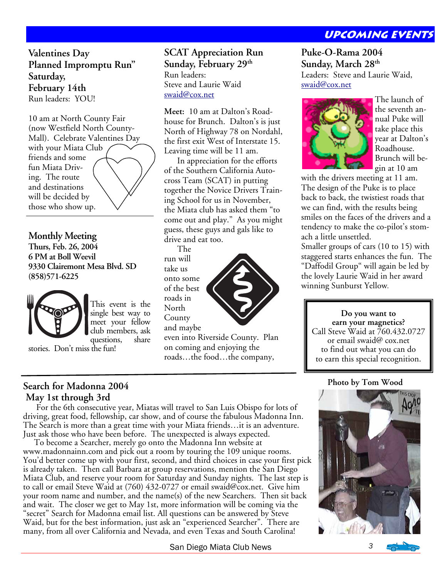#### **Upcoming Events**

**Valentines Day Planned Impromptu Run" Saturday, February 14th**  Run leaders: YOU!

10 am at North County Fair (now Westfield North County-Mall). Celebrate Valentines Day with your Miata Club friends and some fun Miata Driving. The route and destinations will be decided by those who show up.

**Monthly Meeting Thurs, Feb. 26, 2004 6 PM at Boll Weevil 9330 Clairemont Mesa Blvd. SD (858)571-6225** 



This event is the single best way to meet your fellow club members, ask questions.

stories. Don't miss the fun!

#### **SCAT Appreciation Run Sunday, February 29th** Run leaders: Steve and Laurie Waid swaid@cox.net

**Meet:** 10 am at Dalton's Roadhouse for Brunch. Dalton's is just North of Highway 78 on Nordahl, the first exit West of Interstate 15. Leaving time will be 11 am.

 In appreciation for the efforts of the Southern California Autocross Team (SCAT) in putting together the Novice Drivers Training School for us in November, the Miata club has asked them "to come out and play." As you might guess, these guys and gals like to drive and eat too.

 The run will take us onto some of the best roads in North County and maybe



even into Riverside County. Plan on coming and enjoying the roads…the food…the company,

**Puke-O-Rama 2004 Sunday, March 28th** Leaders: Steve and Laurie Waid, swaid@cox.net



The launch of the seventh annual Puke will take place this year at Dalton's Roadhouse. Brunch will begin at 10 am

with the drivers meeting at 11 am. The design of the Puke is to place back to back, the twistiest roads that we can find, with the results being smiles on the faces of the drivers and a tendency to make the co-pilot's stomach a little unsettled.

Smaller groups of cars (10 to 15) with staggered starts enhances the fun. The "Daffodil Group" will again be led by the lovely Laurie Waid in her award winning Sunburst Yellow.

#### **Do you want to**

**earn your magnetics?**  Call Steve Waid at 760.432.0727 or email swaid@ cox.net to find out what you can do to earn this special recognition.

#### **Photo by Tom Wood**



**Search for Madonna 2004 May 1st through 3rd** 

 For the 6th consecutive year, Miatas will travel to San Luis Obispo for lots of driving, great food, fellowship, car show, and of course the fabulous Madonna Inn. The Search is more than a great time with your Miata friends…it is an adventure. Just ask those who have been before. The unexpected is always expected.

 To become a Searcher, merely go onto the Madonna Inn website at www.madonnainn.com and pick out a room by touring the 109 unique rooms. You'd better come up with your first, second, and third choices in case your first pick is already taken. Then call Barbara at group reservations, mention the San Diego Miata Club, and reserve your room for Saturday and Sunday nights. The last step is to call or email Steve Waid at (760) 432-0727 or email swaid@cox.net. Give him your room name and number, and the name(s) of the new Searchers. Then sit back and wait. The closer we get to May 1st, more information will be coming via the "secret" Search for Madonna email list. All questions can be answered by Steve Waid, but for the best information, just ask an "experienced Searcher". There are many, from all over California and Nevada, and even Texas and South Carolina!

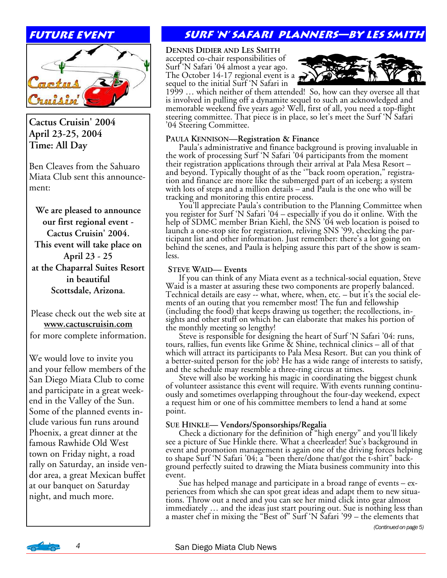#### **future event**



#### **Cactus Cruisin' 2004 April 23-25, 2004 Time: All Day**

Ben Cleaves from the Sahuaro Miata Club sent this announcement:

**We are pleased to announce our first regional event - Cactus Cruisin' 2004. This event will take place on April 23 - 25 at the Chaparral Suites Resort in beautiful Scottsdale, Arizona**.

Please check out the web site at **www.cactuscruisin.com**  for more complete information.

We would love to invite you and your fellow members of the San Diego Miata Club to come and participate in a great weekend in the Valley of the Sun. Some of the planned events include various fun runs around Phoenix, a great dinner at the famous Rawhide Old West town on Friday night, a road rally on Saturday, an inside vendor area, a great Mexican buffet at our banquet on Saturday night, and much more.

## **Surf 'N' Safari planners—by les smith**

**DENNIS DIDIER AND LES SMITH**

accepted co-chair responsibilities of<br>Surf 'N Safari '04 almost a year ago. The October 14-17 regional event is a sequel to the initial Surf 'N Safari in



1999 … which neither of them attended! So, how can they oversee all that is involved in pulling off a dynamite sequel to such an acknowledged and memorable weekend five years ago? Well, first of all, you need a top-flight steering committee. That piece is in place, so let's meet the Surf 'N Safari '04 Steering Committee.

**PAULA KENNISON—Registration & Finance** Paula's administrative and finance background is proving invaluable in the work of processing Surf 'N Safari '04 participants from the moment their registration applications through their arrival at Pala Mesa Resort – and beyond. Typically thought of as the "back room operation," registration and finance are more like the submerged part of an iceberg; a system with lots of steps and a million details – and Paula is the one who will be tracking and monitoring this entire process.

You'll appreciate Paula's contribution to the Planning Committee when<br>you register for Surf 'N Safari '04 – especially if you do it online. With the help of SDMC member Brian Kiehl, the SNS '04 web location is poised to launch a one-stop site for registration, reliving SNS '99, checking the par-<br>ticipant list and other information. Just remember: there's a lot going on behind the scenes, and Paula is helping assure this part of the show is seam- less.

 **STEVE WAID— Events**  Waid is a master at assuring these two components are properly balanced. Technical details are easy -- what, where, when, etc. – but it's the social elements of an outing that you remember most! The fun and fellowship (including the food) that keeps drawing us together; the recollections, insights and other stuff on which he can elaborate that makes his portion of the monthly meeting so lengthy!

 Steve is responsible for designing the heart of Surf 'N Safari '04: runs, tours, rallies, fun events like Grime & Shine, technical clinics – all of that which will attract its participants to Pala Mesa Resort. But can you think of a better-suited person for the job? He has a wide range of interests to satisfy, and the schedule may resemble a three-ring circus at times.

of volunteer assistance this event will require. With events running continuously and sometimes overlapping throughout the four-day weekend, expect a request him or one of his committee members to lend a hand at some point.

**SUE HINKLE— Vendors/Sponsorships/Regalia** Check a dictionary for the definition of "high energy" and you'll likely see a picture of Sue Hinkle there. What a cheerleader! Sue's background in event and promotion management is again one of the driving forces helping to shape Surf 'N Safari '04; a "been there/done that/got the t-shirt" back- ground perfectly suited to drawing the Miata business community into this event.

 Sue has helped manage and participate in a broad range of events – ex- periences from which she can spot great ideas and adapt them to new situations. Throw out a need and you can see her mind click into gear almost immediately … and the ideas just start pouring out. Sue is nothing less than a master chef in mixing the "Best of" Surf 'N Safari '99 – the elements that

*(Continued on page 5)* 

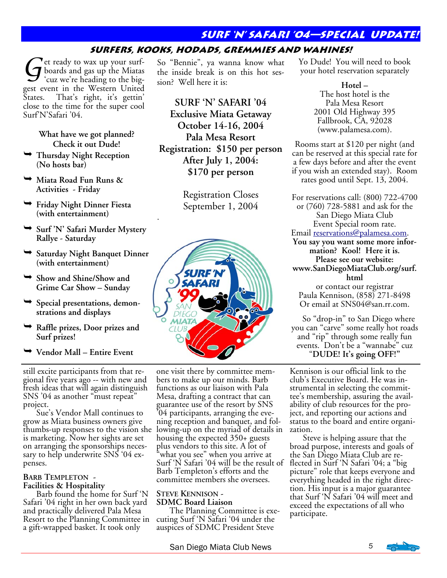#### **Surf 'N' Safari '04—special update!**

#### **Surfers, Kooks, Hodads, Gremmies and Wahines!**

Get ready to wax up your surf-<br>boards and gas up the Miatas<br>cuz we're heading to the bigboards and gas up the Miatas gest event in the Western United States. That's right, it's gettin' close to the time for the super cool Surf'N'Safari '04.

> **What have we got planned? Check it out Dude!**

- ¬ **Thursday Night Reception (No hosts bar)**
- ¬ **Miata Road Fun Runs & Activities - Friday**
- ¬ **Friday Night Dinner Fiesta (with entertainment)**
- ¬ **Surf 'N' Safari Murder Mystery Rallye - Saturday**
- ¬ **Saturday Night Banquet Dinner (with entertainment)**
- ¬ **Show and Shine/Show and Grime Car Show – Sunday**
- ¬ **Special presentations, demonstrations and displays**
- ¬ **Raffle prizes, Door prizes and Surf prizes!**
- ¬ **Vendor Mall Entire Event**

still excite participants from that regional five years ago -- with new and fresh ideas that will again distinguish SNS '04 as another "must repeat" project.

 Sue's Vendor Mall continues to grow as Miata business owners give thumbs-up responses to the vision she lowing-up on the myriad of details in is marketing. Now her sights are set on arranging the sponsorships necessary to help underwrite SNS '04 expenses.

## **BARB TEMPLETON - Facilities & Hospitality**

 Barb found the home for Surf 'N Safari '04 right in her own back yard and practically delivered Pala Mesa Resort to the Planning Committee in a gift-wrapped basket. It took only

So "Bennie", ya wanna know what the inside break is on this hot session? Well here it is:

**SURF 'N' SAFARI '04 Exclusive Miata Getaway October 14-16, 2004 Pala Mesa Resort Registration: \$150 per person After July 1, 2004: \$170 per person** 

> Registration Closes September 1, 2004

.



one visit there by committee members to make up our minds. Barb functions as our liaison with Pala Mesa, drafting a contract that can guarantee use of the resort by SNS '04 participants, arranging the evening reception and banquet, and folhousing the expected 350+ guests plus vendors to this site. A lot of what you see" when you arrive at Surf 'N Safari '04 will be the result of Barb Templeton's efforts and the committee members she oversees.

# **STEVE KENNISON - SDMC Board Liaison**

 The Planning Committee is executing Surf 'N Safari '04 under the auspices of SDMC President Steve

Yo Dude! You will need to book your hotel reservation separately

> **Hotel –**  The host hotel is the Pala Mesa Resort 2001 Old Highway 395 Fallbrook, CA, 92028 (www.palamesa.com).

Rooms start at \$120 per night (and can be reserved at this special rate for a few days before and after the event if you wish an extended stay). Room rates good until Sept. 13, 2004.

For reservations call: (800) 722-4700 or (760) 728-5881 and ask for the San Diego Miata Club Event Special room rate. Email reservations@palamesa.com. **You say you want some more information? Kool! Here it is. Please see our website: www.SanDiegoMiataClub.org/surf. html** 

or contact our registrar Paula Kennison, (858) 271-8498 Or email at SNS04@san.rr.com.

 So "drop-in" to San Diego where you can "carve" some really hot roads and "rip" through some really fun events. Don't be a "wannabe" cuz "**DUDE! It's going OFF!"** 

Kennison is our official link to the club's Executive Board. He was instrumental in selecting the committee's membership, assuring the availability of club resources for the project, and reporting our actions and status to the board and entire organization.

 Steve is helping assure that the broad purpose, interests and goals of the San Diego Miata Club are reflected in Surf 'N Safari '04; a "big picture" role that keeps everyone and everything headed in the right direction. His input is a major guarantee that Surf 'N Safari '04 will meet and exceed the expectations of all who participate.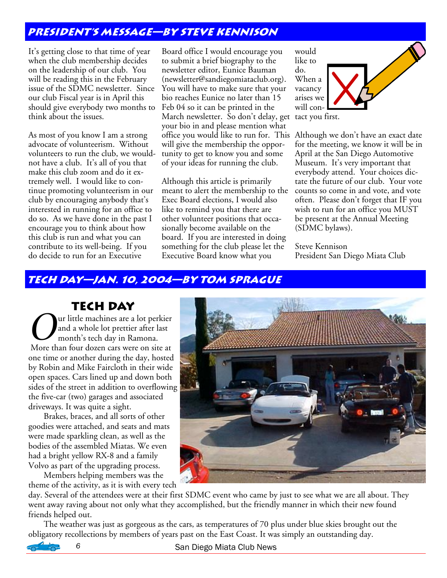#### **President's message—by steve Kennison**

It's getting close to that time of year when the club membership decides on the leadership of our club. You will be reading this in the February issue of the SDMC newsletter. Since our club Fiscal year is in April this should give everybody two months to think about the issues.

As most of you know I am a strong advocate of volunteerism. Without volunteers to run the club, we wouldnot have a club. It's all of you that make this club zoom and do it extremely well. I would like to continue promoting volunteerism in our club by encouraging anybody that's interested in running for an office to do so. As we have done in the past I encourage you to think about how this club is run and what you can contribute to its well-being. If you do decide to run for an Executive

Board office I would encourage you to submit a brief biography to the newsletter editor, Eunice Bauman (newsletter@sandiegomiataclub.org). You will have to make sure that your bio reaches Eunice no later than 15 Feb 04 so it can be printed in the March newsletter. So don't delay, get tact you first. your bio in and please mention what office you would like to run for. This Although we don't have an exact date will give the membership the opportunity to get to know you and some of your ideas for running the club.

Although this article is primarily meant to alert the membership to the Exec Board elections, I would also like to remind you that there are other volunteer positions that occasionally become available on the board. If you are interested in doing something for the club please let the Executive Board know what you

would like to do. When a vacancy arises we will con-

for the meeting, we know it will be in April at the San Diego Automotive Museum. It's very important that everybody attend. Your choices dictate the future of our club. Your vote counts so come in and vote, and vote often. Please don't forget that IF you wish to run for an office you MUST be present at the Annual Meeting (SDMC bylaws).

Steve Kennison President San Diego Miata Club

#### **Tech day—jan. 10, 2004—by tom sprague**

**Tech Day**

Our little machines are a lot perkier<br>and a whole lot prettier after last<br>month's tech day in Ramona. and a whole lot prettier after last month's tech day in Ramona. More than four dozen cars were on site at one time or another during the day, hosted by Robin and Mike Faircloth in their wide open spaces. Cars lined up and down both sides of the street in addition to overflowing the five-car (two) garages and associated driveways. It was quite a sight.

 Brakes, braces, and all sorts of other goodies were attached, and seats and mats were made sparkling clean, as well as the bodies of the assembled Miatas. We even had a bright yellow RX-8 and a family Volvo as part of the upgrading process.

 Members helping members was the theme of the activity, as it is with every tech



day. Several of the attendees were at their first SDMC event who came by just to see what we are all about. They went away raving about not only what they accomplished, but the friendly manner in which their new found friends helped out.

 The weather was just as gorgeous as the cars, as temperatures of 70 plus under blue skies brought out the obligatory recollections by members of years past on the East Coast. It was simply an outstanding day.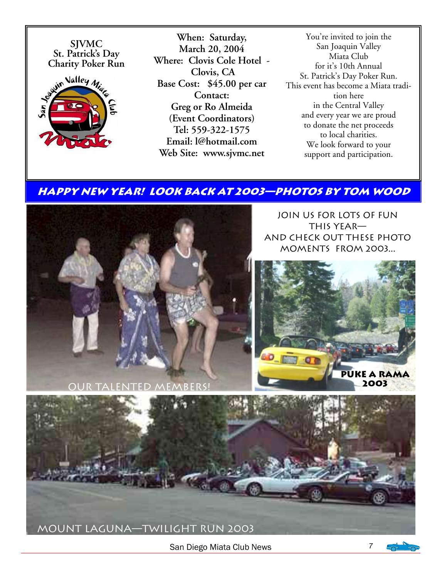**SJVMC Charity Poker Run** 



**When: Saturday, March 20, 2004 Where: Clovis Cole Hotel - Clovis, CA Base Cost: \$45.00 per car Contact: Greg or Ro Almeida (Event Coordinators) Tel: 559-322-1575 Email: l@hotmail.com Web Site: www.sjvmc.net** 

You're invited to join the San Joaquin Valley Miata Club for it's 10th Annual St. Patrick's Day Poker Run. This event has become a Miata tradition here in the Central Valley and every year we are proud to donate the net proceeds to local charities. We look forward to your support and participation.

#### **HAPPY NEW YEAR! Look back at 2003—photos by Tom Wood**



Join us for lots of fun this year and check out these photo moments from 2003...





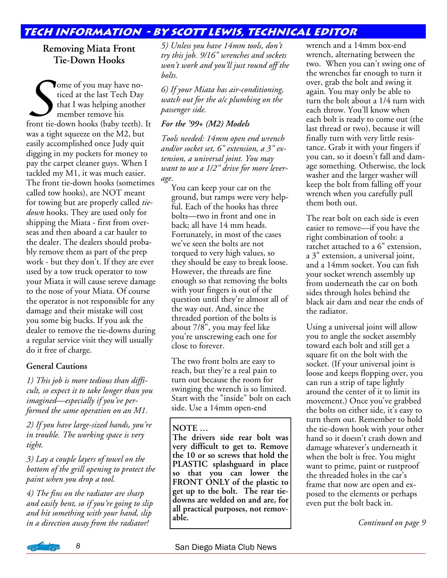#### **Tech information - By Scott Lewis, Technical Editor**

#### **Removing Miata Front Tie-Down Hooks**

Some of you may have no-<br>ticed at the last Tech Day<br>that I was helping another<br>member remove his<br>front tie-down hooks (baby teeth). It ticed at the last Tech Day that I was helping another member remove his was a tight squeeze on the M2, but easily accomplished once Judy quit digging in my pockets for money to pay the carpet cleaner guys. When I tackled my M1, it was much easier. The front tie-down hooks (sometimes called tow hooks), are NOT meant for towing but are properly called *tiedown* hooks. They are used only for shipping the Miata - first from overseas and then aboard a car hauler to the dealer. The dealers should probably remove them as part of the prep work - but they don't. If they are ever used by a tow truck operator to tow your Miata it will cause sereve damage to the nose of your Miata. Of course the operator is not responsible for any damage and their mistake will cost you some big bucks. If you ask the dealer to remove the tie-downs during a regular service visit they will usually do it free of charge.

#### **General Cautions**

*1) This job is more tedious than difficult, so expect it to take longer than you imagined—especially if you've performed the same operation on an M1.* 

*2) If you have large-sized hands, you're in trouble. The working space is very tight.* 

*3) Lay a couple layers of towel on the bottom of the grill opening to protect the paint when you drop a tool.* 

*4) The fins on the radiator are sharp and easily bent, so if you're going to slip and hit something with your hand, slip in a direction away from the radiator!* 

*5) Unless you have 14mm tools, don't try this job. 9/16" wrenches and sockets won't work and you'll just round off the bolts.* 

*6) If your Miata has air-conditioning, watch out for the a/c plumbing on the passenger side.* 

#### *For the '99+ (M2) Models*

*Tools needed: 14mm open end wrench and/or socket set, 6" extension, a 3" extension, a universal joint. You may want to use a 1/2" drive for more leverage.* 

You can keep your car on the ground, but ramps were very helpful. Each of the hooks has three bolts—two in front and one in back; all have 14 mm heads. Fortunately, in most of the cases we've seen the bolts are not torqued to very high values, so they should be easy to break loose. However, the threads are fine enough so that removing the bolts with your fingers is out of the question until they're almost all of the way out. And, since the threaded portion of the bolts is about 7/8", you may feel like you're unscrewing each one for close to forever.

The two front bolts are easy to reach, but they're a real pain to turn out because the room for swinging the wrench is so limited. Start with the "inside" bolt on each side. Use a 14mm open-end

#### **NOTE …**

**The drivers side rear bolt was very difficult to get to. Remove the 10 or so screws that hold the PLASTIC splashguard in place so that you can lower the FRONT ONLY of the plastic to get up to the bolt. The rear tiedowns are welded on and are, for all practical purposes, not removable.** 

wrench and a 14mm box-end wrench, alternating between the two. When you can't swing one of the wrenches far enough to turn it over, grab the bolt and swing it again. You may only be able to turn the bolt about a 1/4 turn with each throw. You'll know when each bolt is ready to come out (the last thread or two), because it will finally turn with very little resistance. Grab it with your fingers if you can, so it doesn't fall and damage something. Otherwise, the lock washer and the larger washer will keep the bolt from falling off your wrench when you carefully pull them both out.

The rear bolt on each side is even easier to remove—if you have the right combination of tools: a ratchet attached to a 6" extension, a 3" extension, a universal joint, and a 14mm socket. You can fish your socket wrench assembly up from underneath the car on both sides through holes behind the black air dam and near the ends of the radiator.

Using a universal joint will allow you to angle the socket assembly toward each bolt and still get a square fit on the bolt with the socket. (If your universal joint is loose and keeps flopping over, you can run a strip of tape lightly around the center of it to limit its movement.) Once you've grabbed the bolts on either side, it's easy to turn them out. Remember to hold the tie-down hook with your other hand so it doesn't crash down and damage whatever's underneath it when the bolt is free. You might want to prime, paint or rustproof the threaded holes in the car's frame that now are open and exposed to the elements or perhaps even put the bolt back in.

*Continued on page 9*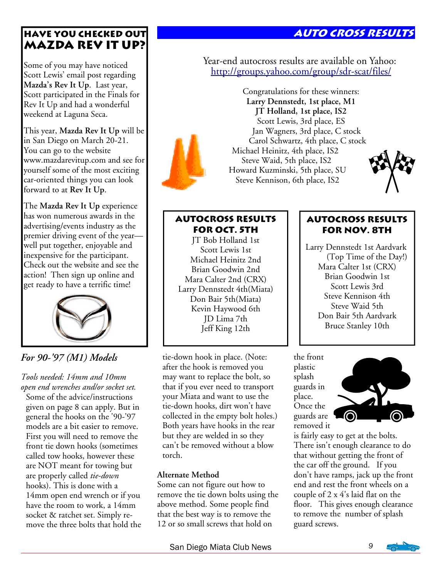## **Auto cross results**

#### **Have you checked out Mazda Rev It Up?**

Some of you may have noticed Scott Lewis' email post regarding **Mazda's Rev It Up**. Last year, Scott participated in the Finals for Rev It Up and had a wonderful weekend at Laguna Seca.

This year, **Mazda Rev It Up** will be in San Diego on March 20-21. You can go to the website www.mazdarevitup.com and see for yourself some of the most exciting car-oriented things you can look forward to at **Rev It Up**.

The **Mazda Rev It Up** experience has won numerous awards in the advertising/events industry as the premier driving event of the year well put together, enjoyable and inexpensive for the participant. Check out the website and see the action! Then sign up online and get ready to have a terrific time!



#### *For 90-'97 (M1) Models*

*Tools needed: 14mm and 10mm open end wrenches and/or socket set.*  Some of the advice/instructions given on page 8 can apply. But in general the hooks on the '90-'97 models are a bit easier to remove. First you will need to remove the front tie down hooks (sometimes called tow hooks, however these are NOT meant for towing but are properly called *tie-down* hooks). This is done with a 14mm open end wrench or if you have the room to work, a 14mm socket & ratchet set. Simply remove the three bolts that hold the Year-end autocross results are available on Yahoo: http://groups.yahoo.com/group/sdr-scat/files/



Congratulations for these winners: **Larry Dennstedt, 1st place, M1 JT Holland, 1st place, IS2**  Scott Lewis, 3rd place, ES Jan Wagners, 3rd place, C stock Carol Schwartz, 4th place, C stock Michael Heinitz, 4th place, IS2 Steve Waid, 5th place, IS2 Howard Kuzminski, 5th place, SU Steve Kennison, 6th place, IS2



#### **Autocross results for Oct. 5th**

JT Bob Holland 1st Scott Lewis 1st Michael Heinitz 2nd Brian Goodwin 2nd Mara Calter 2nd (CRX) Larry Dennstedt 4th(Miata) Don Bair 5th(Miata) Kevin Haywood 6th JD Lima 7th Jeff King 12th

tie-down hook in place. (Note: after the hook is removed you may want to replace the bolt, so that if you ever need to transport your Miata and want to use the tie-down hooks, dirt won't have collected in the empty bolt holes.) Both years have hooks in the rear but they are welded in so they can't be removed without a blow torch.

#### **Alternate Method**

Some can not figure out how to remove the tie down bolts using the above method. Some people find that the best way is to remove the 12 or so small screws that hold on

#### **Autocross results for Nov. 8th**

Larry Dennstedt 1st Aardvark (Top Time of the Day!) Mara Calter 1st (CRX) Brian Goodwin 1st Scott Lewis 3rd Steve Kennison 4th Steve Waid 5th Don Bair 5th Aardvark Bruce Stanley 10th

the front plastic splash guards in place. Once the guards are removed it



is fairly easy to get at the bolts. There isn't enough clearance to do that without getting the front of the car off the ground. If you don't have ramps, jack up the front end and rest the front wheels on a couple of 2 x 4's laid flat on the floor. This gives enough clearance to remove the number of splash guard screws.

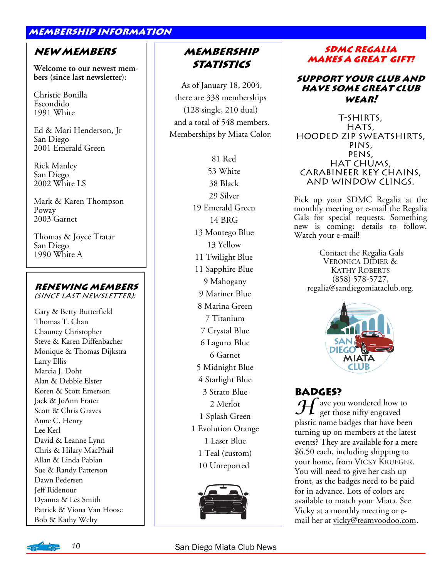#### **membership information**

#### **New Members**

**Welcome to our newest members (since last newsletter**):

Christie Bonilla Escondido 1991 White

Ed & Mari Henderson, Jr San Diego 2001 Emerald Green

Rick Manley San Diego 2002 White LS

Mark & Karen Thompson Poway 2003 Garnet

Thomas & Joyce Tratar San Diego 1990 White A

#### **Renewing members**

(since last newsletter):

Gary & Betty Butterfield Thomas T. Chan Chauncy Christopher Steve & Karen Diffenbacher Monique & Thomas Dijkstra Larry Ellis Marcia J. Doht Alan & Debbie Elster Koren & Scott Emerson Jack & JoAnn Frater Scott & Chris Graves Anne C. Henry Lee Kerl David & Leanne Lynn Chris & Hilary MacPhail Allan & Linda Pabian Sue & Randy Patterson Dawn Pedersen Jeff Ridenour Dyanna & Les Smith Patrick & Viona Van Hoose Bob & Kathy Welty

#### **Membership Statistics**

 As of January 18, 2004, there are 338 memberships (128 single, 210 dual) and a total of 548 members. Memberships by Miata Color:

> 81 Red 53 White 38 Black 29 Silver 19 Emerald Green 14 BRG 13 Montego Blue 13 Yellow 11 Twilight Blue 11 Sapphire Blue 9 Mahogany 9 Mariner Blue 8 Marina Green 7 Titanium 7 Crystal Blue 6 Laguna Blue 6 Garnet 5 Midnight Blue 4 Starlight Blue 3 Strato Blue 2 Merlot 1 Splash Green 1 Evolution Orange 1 Laser Blue 1 Teal (custom) 10 Unreported



#### **SDMC REGALIA makes a great gift! makes a great gift!**

#### **Support your club and have some great club wear!**

T-shirts, HATS, hooded zip sweatshirts, pins, pens, hat chums, carabineer key chains, and window clings.

Pick up your SDMC Regalia at the monthly meeting or e-mail the Regalia Gals for special requests. Something new is coming: details to follow. Watch your e-mail!

 Contact the Regalia Gals VERONICA DIDIER & KATHY ROBERTS (858) 578-5727, regalia@sandiegomiataclub.org.



#### **Badges?**

 ${\mathcal H}$  ave you wondered how to get those nifty engraved plastic name badges that have been turning up on members at the latest events? They are available for a mere \$6.50 each, including shipping to your home, from VICKY KRUEGER. You will need to give her cash up front, as the badges need to be paid for in advance. Lots of colors are available to match your Miata. See Vicky at a monthly meeting or email her at vicky@teamvoodoo.com.

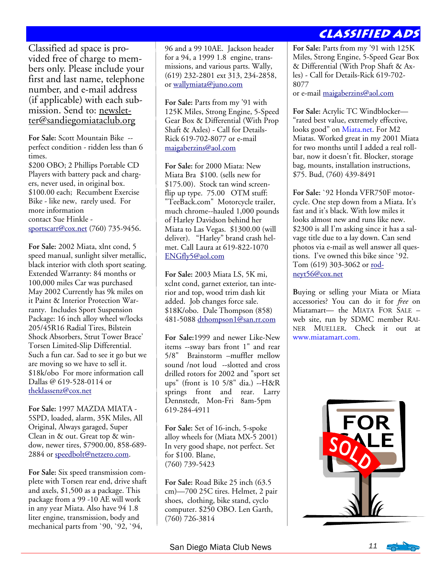#### **Classified Ads**

Classified ad space is provided free of charge to members only. Please include your first and last name, telephone number, and e-mail address (if applicable) with each submission. Send to: newsletter@sandiegomiataclub.org

**For Sale:** Scott Mountain Bike - perfect condition - ridden less than 6 times. \$200 OBO; 2 Phillips Portable CD Players with battery pack and chargers, never used, in original box. \$100.00 each; Recumbent Exercise Bike - like new, rarely used. For more information contact Sue Hinkle sportscarr@cox.net (760) 735-9456.

**For Sale:** 2002 Miata, xlnt cond, 5 speed manual, sunlight silver metallic, black interior with cloth sport seating. Extended Warranty: 84 months or 100,000 miles Car was purchased May 2002 Currently has 9k miles on it Paint & Interior Protection Warranty. Includes Sport Suspension Package: 16 inch alloy wheel w/locks 205/45R16 Radial Tires, Bilstein Shock Absorbers, Strut Tower Brace' Torsen Limited-Slip Differential. Such a fun car. Sad to see it go but we are moving so we have to sell it. \$18k/obo For more information call Dallas @ 619-528-0114 or theklassenz@cox.net

**For Sale:** 1997 MAZDA MIATA - 5SPD, loaded, alarm, 35K Miles, All Original, Always garaged, Super Clean in & out. Great top & window, newer tires, \$7900.00, 858-689- 2884 or speedbolt@netzero.com.

**For Sale:** Six speed transmission complete with Torsen rear end, drive shaft and axels, \$1,500 as a package. This package from a 99 -10 AE will work in any year Miata. Also have 94 1.8 liter engine, transmission, body and mechanical parts from `90, `92, `94,

96 and a 99 10AE. Jackson header for a 94, a 1999 1.8 engine, transmissions, and various parts. Wally, (619) 232-2801 ext 313, 234-2858, or wallymiata@juno.com

**For Sale:** Parts from my '91 with 125K Miles, Strong Engine, 5-Speed Gear Box & Differential (With Prop Shaft & Axles) - Call for Details-Rick 619-702-8077 or e-mail maigaberzins@aol.com

**For Sale:** for 2000 Miata: New Miata Bra \$100. (sells new for \$175.00). Stock tan wind screenflip up type. 75.00 OTM stuff: "TeeBack.com" Motorcycle trailer, much chrome--hauled 1,000 pounds of Harley Davidson behind her Miata to Las Vegas. \$1300.00 (will deliver). "Harley" brand crash helmet. Call Laura at 619-822-1070 ENGfly5@aol.com

**For Sale:** 2003 Miata LS, 5K mi, xclnt cond, garnet exterior, tan interior and top, wood trim dash kit added. Job changes force sale. \$18K/obo. Dale Thompson (858) 481-5088 dthompson1@san.rr.com

**For Sale:**1999 and newer Like-New items --sway bars front 1" and rear 5/8" Brainstorm –muffler mellow sound /not loud --slotted and cross drilled rotors for 2002 and "sport set ups" (front is 10 5/8" dia.) --H&R springs front and rear. Larry Dennstedt, Mon-Fri 8am-5pm 619-284-4911

**For Sale:** Set of 16-inch, 5-spoke alloy wheels for (Miata MX-5 2001) In very good shape, not perfect. Set for \$100. Blane, (760) 739-5423

**For Sale:** Road Bike 25 inch (63.5 cm)—700 25C tires. Helmet, 2 pair shoes, clothing, bike stand, cyclo computer. \$250 OBO. Len Garth, (760) 726-3814

**For Sale:** Parts from my '91 with 125K Miles, Strong Engine, 5-Speed Gear Box & Differential (With Prop Shaft & Axles) - Call for Details-Rick 619-702- 8077

or e-mail maigaberzins@aol.com

**For Sale:** Acrylic TC Windblocker— "rated best value, extremely effective, looks good" on Miata.net. For M2 Miatas. Worked great in my 2001 Miata for two months until I added a real rollbar, now it doesn't fit. Blocker, storage bag, mounts, installation instructions, \$75. Bud, (760) 439-8491

**For Sale:** `92 Honda VFR750F motorcycle. One step down from a Miata. It's fast and it's black. With low miles it looks almost new and runs like new. \$2300 is all I'm asking since it has a salvage title due to a lay down. Can send photos via e-mail as well answer all questions. I've owned this bike since `92. Tom (619) 303-3062 or rodneyt56@cox.net

**B**uying or selling your Miata or Miata accessories? You can do it for *free* on Miatamart— the MIATA FOR SALE – web site, run by SDMC member RAI-NER MUELLER. Check it out at www.miatamart.com.